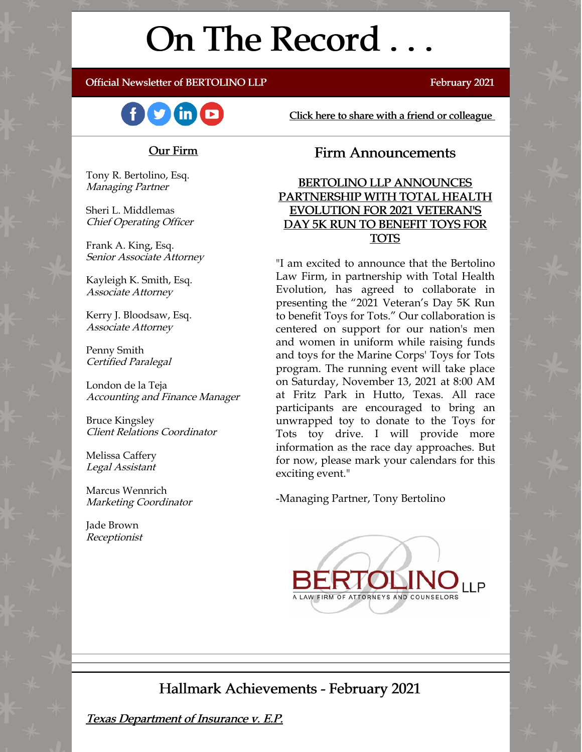# On The Record . . .

#### Official Newsletter of BERTOLINO LLP February 2021



Click here to share with a friend or colleague

### Our Firm

Tony R. Bertolino, Esq. Managing Partner

Sheri L. Middlemas Chief Operating Officer

Frank A. King, Esq. Senior Associate Attorney

Kayleigh K. Smith, Esq. Associate Attorney

Kerry J. Bloodsaw, Esq. Associate Attorney

Penny Smith Certified Paralegal

London de la Teja Accounting and Finance Manager

Bruce Kingsley Client Relations Coordinator

Melissa Caffery Legal Assistant

Marcus Wennrich Marketing Coordinator

Jade Brown Receptionist

## Firm Announcements

BERTOLINO LLP ANNOUNCES PARTNERSHIP WITH TOTAL HEALTH EVOLUTION FOR 2021 VETERAN'S DAY 5K RUN TO BENEFIT TOYS FOR TOTS

"I am excited to announce that the Bertolino Law Firm, in partnership with Total Health Evolution, has agreed to collaborate in presenting the "2021 Veteran's Day 5K Run to benefit Toys for Tots." Our collaboration is centered on support for our nation's men and women in uniform while raising funds and toys for the Marine Corps' Toys for Tots program. The running event will take place on Saturday, November 13, 2021 at 8:00 AM at Fritz Park in Hutto, Texas. All race participants are encouraged to bring an unwrapped toy to donate to the Toys for Tots toy drive. I will provide more information as the race day approaches. But for now, please mark your calendars for this exciting event."

-Managing Partner, Tony Bertolino



## Hallmark Achievements - February 2021

Texas Department of Insurance v. E.P.